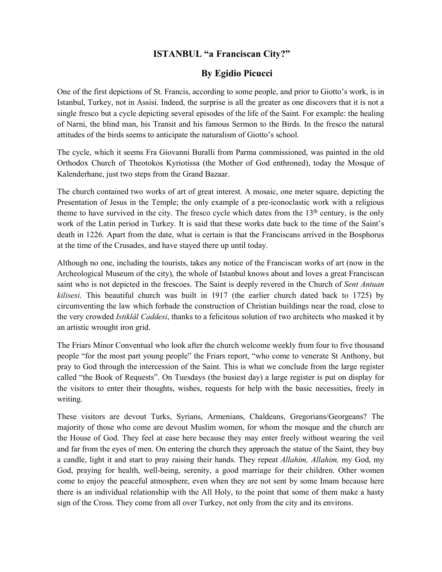## **ISTANBUL "a Franciscan City?"**

## **By Egidio Picucci**

One of the first depictions of St. Francis, according to some people, and prior to Giotto's work, is in Istanbul, Turkey, not in Assisi. Indeed, the surprise is all the greater as one discovers that it is not a single fresco but a cycle depicting several episodes of the life of the Saint. For example: the healing of Narni, the blind man, his Transit and his famous Sermon to the Birds. In the fresco the natural attitudes of the birds seems to anticipate the naturalism of Giotto's school.

The cycle, which it seems Fra Giovanni Buralli from Parma commissioned, was painted in the old Orthodox Church of Theotokos Kyriotissa (the Mother of God enthroned), today the Mosque of Kalenderhane, just two steps from the Grand Bazaar.

The church contained two works of art of great interest. A mosaic, one meter square, depicting the Presentation of Jesus in the Temple; the only example of a pre-iconoclastic work with a religious theme to have survived in the city. The fresco cycle which dates from the  $13<sup>th</sup>$  century, is the only work of the Latin period in Turkey. It is said that these works date back to the time of the Saint's death in 1226. Apart from the date, what is certain is that the Franciscans arrived in the Bosphorus at the time of the Crusades, and have stayed there up until today.

Although no one, including the tourists, takes any notice of the Franciscan works of art (now in the Archeological Museum of the city), the whole of Istanbul knows about and loves a great Franciscan saint who is not depicted in the frescoes. The Saint is deeply revered in the Church of *Sent Antuan kilisesi*. This beautiful church was built in 1917 (the earlier church dated back to 1725) by circumventing the law which forbade the construction of Christian buildings near the road, close to the very crowded *Istiklâl Caddesi*, thanks to a felicitous solution of two architects who masked it by an artistic wrought iron grid.

The Friars Minor Conventual who look after the church welcome weekly from four to five thousand people "for the most part young people" the Friars report, "who come to venerate St Anthony, but pray to God through the intercession of the Saint. This is what we conclude from the large register called "the Book of Requests". On Tuesdays (the busiest day) a large register is put on display for the visitors to enter their thoughts, wishes, requests for help with the basic necessities, freely in writing.

These visitors are devout Turks, Syrians, Armenians, Chaldeans, Gregorians/Georgeans? The majority of those who come are devout Muslim women, for whom the mosque and the church are the House of God. They feel at ease here because they may enter freely without wearing the veil and far from the eyes of men. On entering the church they approach the statue of the Saint, they buy a candle, light it and start to pray raising their hands. They repeat *Allahim, Allahim,* my God, my God, praying for health, well-being, serenity, a good marriage for their children. Other women come to enjoy the peaceful atmosphere, even when they are not sent by some Imam because here there is an individual relationship with the All Holy, to the point that some of them make a hasty sign of the Cross. They come from all over Turkey, not only from the city and its environs.